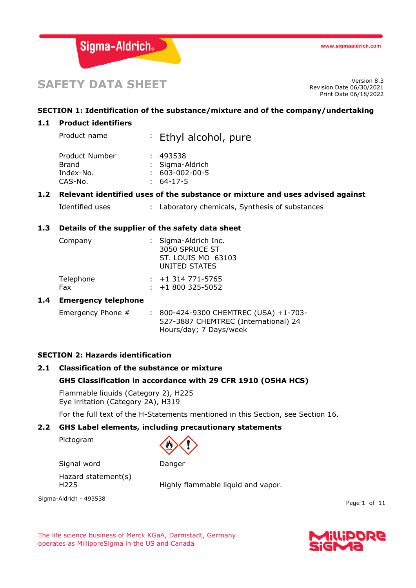

# **SAFETY DATA SHEET** Version 8.3

Revision Date 06/30/2021 Print Date 06/18/2022

# **SECTION 1: Identification of the substance/mixture and of the company/undertaking**

# **1.1 Product identifiers**

| Product name   | : Ethyl alcohol, pure  |
|----------------|------------------------|
| Product Number | : 493538               |
| Brand          | : Sigma-Aldrich        |
| Index-No.      | $: 603 - 002 - 00 - 5$ |
| CAS-No.        | 64-17-5                |

# **1.2 Relevant identified uses of the substance or mixture and uses advised against**

|  | Identified uses |  |  | Laboratory chemicals, Synthesis of substances |  |  |  |  |
|--|-----------------|--|--|-----------------------------------------------|--|--|--|--|
|--|-----------------|--|--|-----------------------------------------------|--|--|--|--|

# **1.3 Details of the supplier of the safety data sheet**

| Company   | : Sigma-Aldrich Inc.<br>3050 SPRUCE ST<br>ST. LOUIS MO 63103<br>UNITED STATES |
|-----------|-------------------------------------------------------------------------------|
| Telephone | $: +1314771 - 5765$                                                           |
| Fax       | $\div$ +1 800 325-5052                                                        |

# **1.4 Emergency telephone**

| Emergency Phone $#$ | : 800-424-9300 CHEMTREC (USA) +1-703- |
|---------------------|---------------------------------------|
|                     | 527-3887 CHEMTREC (International) 24  |
|                     | Hours/day; 7 Days/week                |

# **SECTION 2: Hazards identification**

# **2.1 Classification of the substance or mixture**

## **GHS Classification in accordance with 29 CFR 1910 (OSHA HCS)**

Flammable liquids (Category 2), H225 Eye irritation (Category 2A), H319

For the full text of the H-Statements mentioned in this Section, see Section 16.

#### **2.2 GHS Label elements, including precautionary statements**

Pictogram



Signal word Danger

Hazard statement(s)

H225 Highly flammable liquid and vapor.

Sigma-Aldrich - 493538

Page 1 of 11

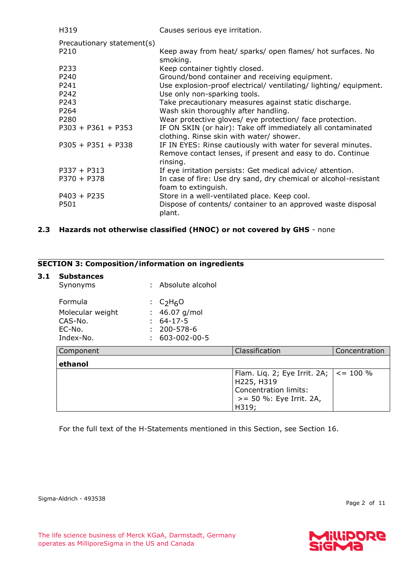| H319                       | Causes serious eye irritation.                                                                                                         |
|----------------------------|----------------------------------------------------------------------------------------------------------------------------------------|
| Precautionary statement(s) |                                                                                                                                        |
| P <sub>210</sub>           | Keep away from heat/ sparks/ open flames/ hot surfaces. No<br>smoking.                                                                 |
| P233                       | Keep container tightly closed.                                                                                                         |
| P240                       | Ground/bond container and receiving equipment.                                                                                         |
| P241                       | Use explosion-proof electrical/ ventilating/ lighting/ equipment.                                                                      |
| P242                       | Use only non-sparking tools.                                                                                                           |
| P243                       | Take precautionary measures against static discharge.                                                                                  |
| P264                       | Wash skin thoroughly after handling.                                                                                                   |
| P <sub>280</sub>           | Wear protective gloves/ eye protection/ face protection.                                                                               |
| $P303 + P361 + P353$       | IF ON SKIN (or hair): Take off immediately all contaminated<br>clothing. Rinse skin with water/ shower.                                |
| $P305 + P351 + P338$       | IF IN EYES: Rinse cautiously with water for several minutes.<br>Remove contact lenses, if present and easy to do. Continue<br>rinsing. |
| $P337 + P313$              | If eye irritation persists: Get medical advice/ attention.                                                                             |
| $P370 + P378$              | In case of fire: Use dry sand, dry chemical or alcohol-resistant<br>foam to extinguish.                                                |
| $P403 + P235$              | Store in a well-ventilated place. Keep cool.                                                                                           |
| P501                       | Dispose of contents/ container to an approved waste disposal<br>plant.                                                                 |

# **2.3 Hazards not otherwise classified (HNOC) or not covered by GHS** - none

# **SECTION 3: Composition/information on ingredients**

#### **3.1 Substances**

| Synonyms         | : Absolute alcohol |
|------------------|--------------------|
| Formula          | : $C_2H_6O$        |
| Molecular weight | : $46.07$ g/mol    |
| CAS-No.          | $: 64-17-5$        |
| EC-No.           | $: 200 - 578 - 6$  |
| Index-No.        | 603-002-00-5       |

| Component | Classification                                              | Concentration |
|-----------|-------------------------------------------------------------|---------------|
| ethanol   |                                                             |               |
|           | Flam. Liq. 2; Eye Irrit. 2A; $  \lt = 100 \%$<br>H225, H319 |               |
|           | Concentration limits:                                       |               |
|           | >= 50 %: Eye Irrit. 2A,<br>H319;                            |               |

For the full text of the H-Statements mentioned in this Section, see Section 16.

Sigma-Aldrich - 493538

Page 2 of 11

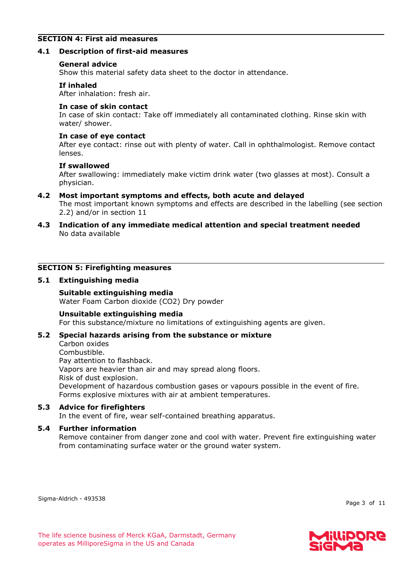# **SECTION 4: First aid measures**

## **4.1 Description of first-aid measures**

#### **General advice**

Show this material safety data sheet to the doctor in attendance.

#### **If inhaled**

After inhalation: fresh air.

#### **In case of skin contact**

In case of skin contact: Take off immediately all contaminated clothing. Rinse skin with water/ shower.

#### **In case of eye contact**

After eye contact: rinse out with plenty of water. Call in ophthalmologist. Remove contact lenses.

#### **If swallowed**

After swallowing: immediately make victim drink water (two glasses at most). Consult a physician.

## **4.2 Most important symptoms and effects, both acute and delayed**

The most important known symptoms and effects are described in the labelling (see section 2.2) and/or in section 11

**4.3 Indication of any immediate medical attention and special treatment needed** No data available

# **SECTION 5: Firefighting measures**

#### **5.1 Extinguishing media**

# **Suitable extinguishing media**

Water Foam Carbon dioxide (CO2) Dry powder

## **Unsuitable extinguishing media**

For this substance/mixture no limitations of extinguishing agents are given.

## **5.2 Special hazards arising from the substance or mixture**

Carbon oxides Combustible. Pay attention to flashback. Vapors are heavier than air and may spread along floors. Risk of dust explosion. Development of hazardous combustion gases or vapours possible in the event of fire. Forms explosive mixtures with air at ambient temperatures.

#### **5.3 Advice for firefighters**

In the event of fire, wear self-contained breathing apparatus.

## **5.4 Further information**

Remove container from danger zone and cool with water. Prevent fire extinguishing water from contaminating surface water or the ground water system.

Sigma-Aldrich - 493538

Page 3 of 11

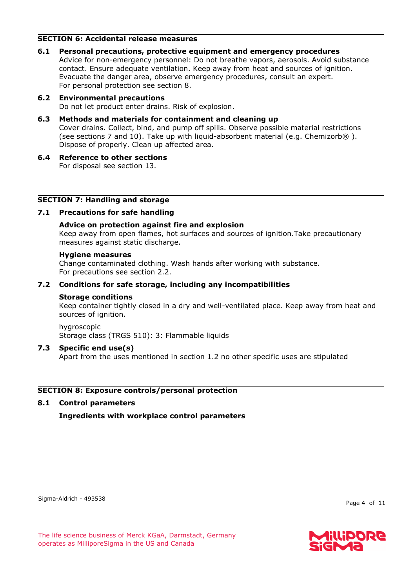# **SECTION 6: Accidental release measures**

**6.1 Personal precautions, protective equipment and emergency procedures** Advice for non-emergency personnel: Do not breathe vapors, aerosols. Avoid substance contact. Ensure adequate ventilation. Keep away from heat and sources of ignition. Evacuate the danger area, observe emergency procedures, consult an expert. For personal protection see section 8.

# **6.2 Environmental precautions** Do not let product enter drains. Risk of explosion.

# **6.3 Methods and materials for containment and cleaning up**

Cover drains. Collect, bind, and pump off spills. Observe possible material restrictions (see sections 7 and 10). Take up with liquid-absorbent material (e.g. Chemizorb®). Dispose of properly. Clean up affected area.

**6.4 Reference to other sections** For disposal see section 13.

## **SECTION 7: Handling and storage**

## **7.1 Precautions for safe handling**

## **Advice on protection against fire and explosion**

Keep away from open flames, hot surfaces and sources of ignition.Take precautionary measures against static discharge.

#### **Hygiene measures**

Change contaminated clothing. Wash hands after working with substance. For precautions see section 2.2.

## **7.2 Conditions for safe storage, including any incompatibilities**

#### **Storage conditions**

Keep container tightly closed in a dry and well-ventilated place. Keep away from heat and sources of ignition.

hygroscopic Storage class (TRGS 510): 3: Flammable liquids

## **7.3 Specific end use(s)**

Apart from the uses mentioned in section 1.2 no other specific uses are stipulated

## **SECTION 8: Exposure controls/personal protection**

## **8.1 Control parameters**

**Ingredients with workplace control parameters**

Sigma-Aldrich - 493538

Page 4 of 11

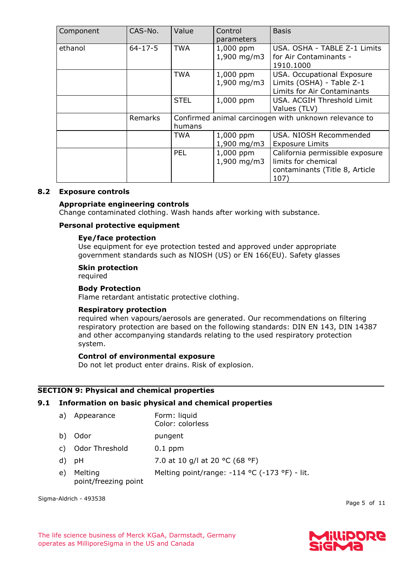| Component | CAS-No.       | Value       | Control<br>parameters        | <b>Basis</b>                                                                                     |
|-----------|---------------|-------------|------------------------------|--------------------------------------------------------------------------------------------------|
| ethanol   | $64 - 17 - 5$ | <b>TWA</b>  | 1,000 ppm<br>1,900 mg/m3     | USA. OSHA - TABLE Z-1 Limits<br>for Air Contaminants -<br>1910.1000                              |
|           |               | <b>TWA</b>  | $1,000$ ppm<br>$1,900$ mg/m3 | USA. Occupational Exposure<br>Limits (OSHA) - Table Z-1<br>Limits for Air Contaminants           |
|           |               | <b>STEL</b> | 1,000 ppm                    | USA. ACGIH Threshold Limit<br>Values (TLV)                                                       |
|           | Remarks       | humans      |                              | Confirmed animal carcinogen with unknown relevance to                                            |
|           |               | TWA         | 1,000 ppm<br>$1,900$ mg/m3   | USA. NIOSH Recommended<br><b>Exposure Limits</b>                                                 |
|           |               | <b>PEL</b>  | 1,000 ppm<br>1,900 mg/m3     | California permissible exposure<br>limits for chemical<br>contaminants (Title 8, Article<br>107) |

#### **8.2 Exposure controls**

#### **Appropriate engineering controls**

Change contaminated clothing. Wash hands after working with substance.

#### **Personal protective equipment**

#### **Eye/face protection**

Use equipment for eye protection tested and approved under appropriate government standards such as NIOSH (US) or EN 166(EU). Safety glasses

#### **Skin protection**

required

# **Body Protection**

Flame retardant antistatic protective clothing.

#### **Respiratory protection**

required when vapours/aerosols are generated. Our recommendations on filtering respiratory protection are based on the following standards: DIN EN 143, DIN 14387 and other accompanying standards relating to the used respiratory protection system.

#### **Control of environmental exposure**

Do not let product enter drains. Risk of explosion.

#### **SECTION 9: Physical and chemical properties**

#### **9.1 Information on basic physical and chemical properties**

| a) | Appearance                      | Form: liquid<br>Color: colorless              |
|----|---------------------------------|-----------------------------------------------|
| b) | Odor                            | pungent                                       |
| C) | Odor Threshold                  | $0.1$ ppm                                     |
| d) | pH                              | 7.0 at 10 g/l at 20 °C (68 °F)                |
| e) | Melting<br>point/freezing point | Melting point/range: -114 °C (-173 °F) - lit. |

Sigma-Aldrich - 493538

Page 5 of 11

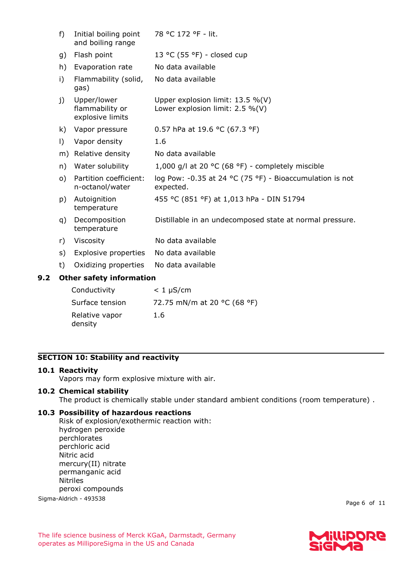| f)                              | Initial boiling point<br>and boiling range         | 78 °C 172 °F - lit.                                                    |  |  |
|---------------------------------|----------------------------------------------------|------------------------------------------------------------------------|--|--|
| g)                              | Flash point                                        | 13 °C (55 °F) - closed cup                                             |  |  |
| h)                              | Evaporation rate                                   | No data available                                                      |  |  |
| i)                              | Flammability (solid,<br>gas)                       | No data available                                                      |  |  |
| j)                              | Upper/lower<br>flammability or<br>explosive limits | Upper explosion limit: 13.5 %(V)<br>Lower explosion limit: $2.5\%$ (V) |  |  |
| k)                              | Vapor pressure                                     | 0.57 hPa at 19.6 °C (67.3 °F)                                          |  |  |
| $\vert$ )                       | Vapor density                                      | 1.6                                                                    |  |  |
| m)                              | Relative density                                   | No data available                                                      |  |  |
| n)                              | Water solubility                                   | 1,000 g/l at 20 $\degree$ C (68 $\degree$ F) - completely miscible     |  |  |
| $\circ)$                        | Partition coefficient:<br>n-octanol/water          | log Pow: -0.35 at 24 °C (75 °F) - Bioaccumulation is not<br>expected.  |  |  |
| p)                              | Autoignition<br>temperature                        | 455 °C (851 °F) at 1,013 hPa - DIN 51794                               |  |  |
| q)                              | Decomposition<br>temperature                       | Distillable in an undecomposed state at normal pressure.               |  |  |
| r)                              | Viscosity                                          | No data available                                                      |  |  |
| s)                              | Explosive properties                               | No data available                                                      |  |  |
| t)                              | Oxidizing properties                               | No data available                                                      |  |  |
| <b>Other safety information</b> |                                                    |                                                                        |  |  |
|                                 | Conductivity                                       | $< 1 \mu$ S/cm                                                         |  |  |

| Conductivity    | $< 1 \mu$ S/cm              |
|-----------------|-----------------------------|
| Surface tension | 72.75 mN/m at 20 °C (68 °F) |
| Relative vapor  | 1.6                         |

# **SECTION 10: Stability and reactivity**

# **10.1 Reactivity**

**9.2 Other safety information**

Vapors may form explosive mixture with air.

# **10.2 Chemical stability**

density

The product is chemically stable under standard ambient conditions (room temperature) .

# **10.3 Possibility of hazardous reactions**

Sigma-Aldrich - 493538 Risk of explosion/exothermic reaction with: hydrogen peroxide perchlorates perchloric acid Nitric acid mercury(II) nitrate permanganic acid Nitriles peroxi compounds

Page 6 of 11

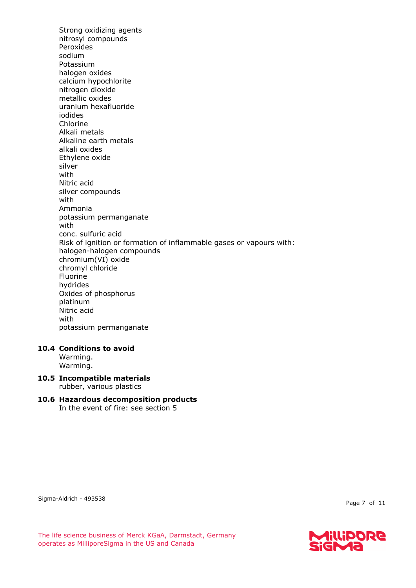Strong oxidizing agents nitrosyl compounds Peroxides sodium Potassium halogen oxides calcium hypochlorite nitrogen dioxide metallic oxides uranium hexafluoride iodides Chlorine Alkali metals Alkaline earth metals alkali oxides Ethylene oxide silver with Nitric acid silver compounds with Ammonia potassium permanganate with conc. sulfuric acid Risk of ignition or formation of inflammable gases or vapours with: halogen-halogen compounds chromium(VI) oxide chromyl chloride Fluorine hydrides Oxides of phosphorus platinum Nitric acid with potassium permanganate

## **10.4 Conditions to avoid**

Warming. Warming.

- **10.5 Incompatible materials** rubber, various plastics
- **10.6 Hazardous decomposition products** In the event of fire: see section 5

Sigma-Aldrich - 493538

Page 7 of 11

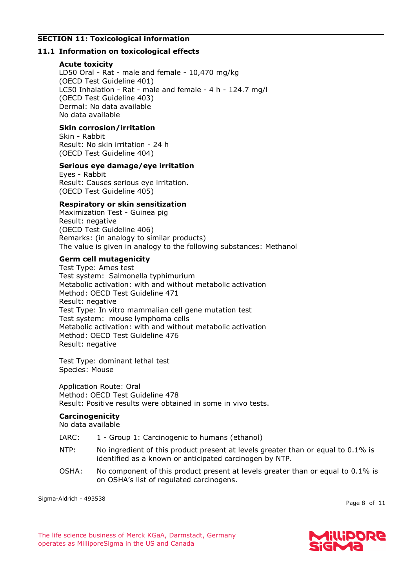# **SECTION 11: Toxicological information**

# **11.1 Information on toxicological effects**

# **Acute toxicity**

LD50 Oral - Rat - male and female - 10,470 mg/kg (OECD Test Guideline 401) LC50 Inhalation - Rat - male and female - 4 h - 124.7 mg/l (OECD Test Guideline 403) Dermal: No data available No data available

# **Skin corrosion/irritation**

Skin - Rabbit Result: No skin irritation - 24 h (OECD Test Guideline 404)

## **Serious eye damage/eye irritation**

Eyes - Rabbit Result: Causes serious eye irritation. (OECD Test Guideline 405)

## **Respiratory or skin sensitization**

Maximization Test - Guinea pig Result: negative (OECD Test Guideline 406) Remarks: (in analogy to similar products) The value is given in analogy to the following substances: Methanol

## **Germ cell mutagenicity**

Test Type: Ames test Test system: Salmonella typhimurium Metabolic activation: with and without metabolic activation Method: OECD Test Guideline 471 Result: negative Test Type: In vitro mammalian cell gene mutation test Test system: mouse lymphoma cells Metabolic activation: with and without metabolic activation Method: OECD Test Guideline 476 Result: negative

Test Type: dominant lethal test Species: Mouse

Application Route: Oral Method: OECD Test Guideline 478 Result: Positive results were obtained in some in vivo tests.

# **Carcinogenicity**

No data available

- IARC: 1 Group 1: Carcinogenic to humans (ethanol)
- NTP: No ingredient of this product present at levels greater than or equal to 0.1% is identified as a known or anticipated carcinogen by NTP.
- OSHA: No component of this product present at levels greater than or equal to 0.1% is on OSHA's list of regulated carcinogens.

Sigma-Aldrich - 493538

Page 8 of 11

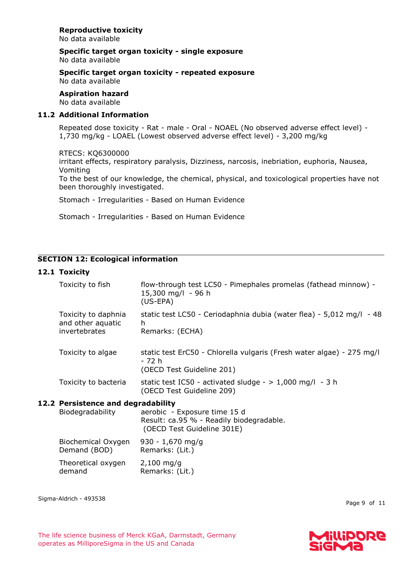# **Reproductive toxicity**

No data available

**Specific target organ toxicity - single exposure** No data available

#### **Specific target organ toxicity - repeated exposure** No data available

**Aspiration hazard**

No data available

# **11.2 Additional Information**

Repeated dose toxicity - Rat - male - Oral - NOAEL (No observed adverse effect level) - 1,730 mg/kg - LOAEL (Lowest observed adverse effect level) - 3,200 mg/kg

# RTECS: KQ6300000

irritant effects, respiratory paralysis, Dizziness, narcosis, inebriation, euphoria, Nausea, Vomiting

To the best of our knowledge, the chemical, physical, and toxicological properties have not been thoroughly investigated.

Stomach - Irregularities - Based on Human Evidence

Stomach - Irregularities - Based on Human Evidence

# **SECTION 12: Ecological information**

# **12.1 Toxicity**

| Toxicity to fish                                          | flow-through test LC50 - Pimephales promelas (fathead minnow) -<br>15,300 mg/l - 96 h<br>$(US-EPA)$          |
|-----------------------------------------------------------|--------------------------------------------------------------------------------------------------------------|
| Toxicity to daphnia<br>and other aquatic<br>invertebrates | static test LC50 - Ceriodaphnia dubia (water flea) - 5,012 mg/l - 48<br>h<br>Remarks: (ECHA)                 |
| Toxicity to algae                                         | static test ErC50 - Chlorella vulgaris (Fresh water algae) - 275 mg/l<br>- 72 h<br>(OECD Test Guideline 201) |
| Toxicity to bacteria                                      | static test IC50 - activated sludge - $> 1,000$ mg/l - 3 h<br>(OECD Test Guideline 209)                      |
| 12.2 Persistence and degradability<br>Biodegradability    | aerobic - Exposure time 15 d<br>Result: ca.95 % - Readily biodegradable.<br>(OECD Test Guideline 301E)       |
| Biochemical Oxygen<br>Demand (BOD)                        | $930 - 1,670$ mg/g<br>Remarks: (Lit.)                                                                        |

Theoretical oxygen demand 2,100 mg/g Remarks: (Lit.)

Sigma-Aldrich - 493538

Page 9 of 11

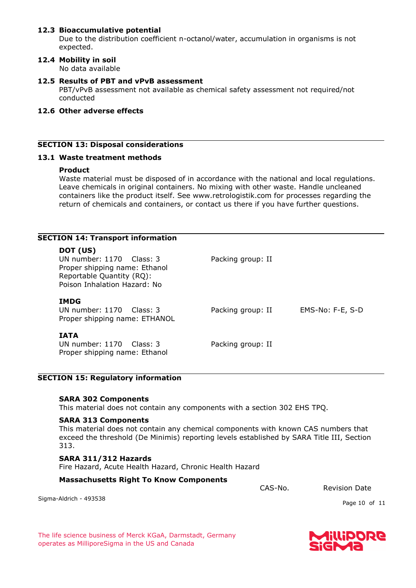## **12.3 Bioaccumulative potential**

Due to the distribution coefficient n-octanol/water, accumulation in organisms is not expected.

# **12.4 Mobility in soil**

No data available

**12.5 Results of PBT and vPvB assessment** PBT/vPvB assessment not available as chemical safety assessment not required/not conducted

#### **12.6 Other adverse effects**

#### **SECTION 13: Disposal considerations**

#### **13.1 Waste treatment methods**

#### **Product**

Waste material must be disposed of in accordance with the national and local regulations. Leave chemicals in original containers. No mixing with other waste. Handle uncleaned containers like the product itself. See www.retrologistik.com for processes regarding the return of chemicals and containers, or contact us there if you have further questions.

| <b>SECTION 14: Transport information</b>                                                                                             |                   |                  |
|--------------------------------------------------------------------------------------------------------------------------------------|-------------------|------------------|
| DOT (US)<br>UN number: $1170$ Class: 3<br>Proper shipping name: Ethanol<br>Reportable Quantity (RQ):<br>Poison Inhalation Hazard: No | Packing group: II |                  |
| <b>IMDG</b><br>UN number: $1170$ Class: 3<br>Proper shipping name: ETHANOL                                                           | Packing group: II | EMS-No: F-E, S-D |
| <b>IATA</b><br>UN number: $1170$ Class: 3<br>Proper shipping name: Ethanol                                                           | Packing group: II |                  |

#### **SECTION 15: Regulatory information**

#### **SARA 302 Components**

This material does not contain any components with a section 302 EHS TPQ.

## **SARA 313 Components**

This material does not contain any chemical components with known CAS numbers that exceed the threshold (De Minimis) reporting levels established by SARA Title III, Section 313.

#### **SARA 311/312 Hazards**

Fire Hazard, Acute Health Hazard, Chronic Health Hazard

#### **Massachusetts Right To Know Components**

CAS-No. Revision Date

Sigma-Aldrich - 493538

Page 10 of 11